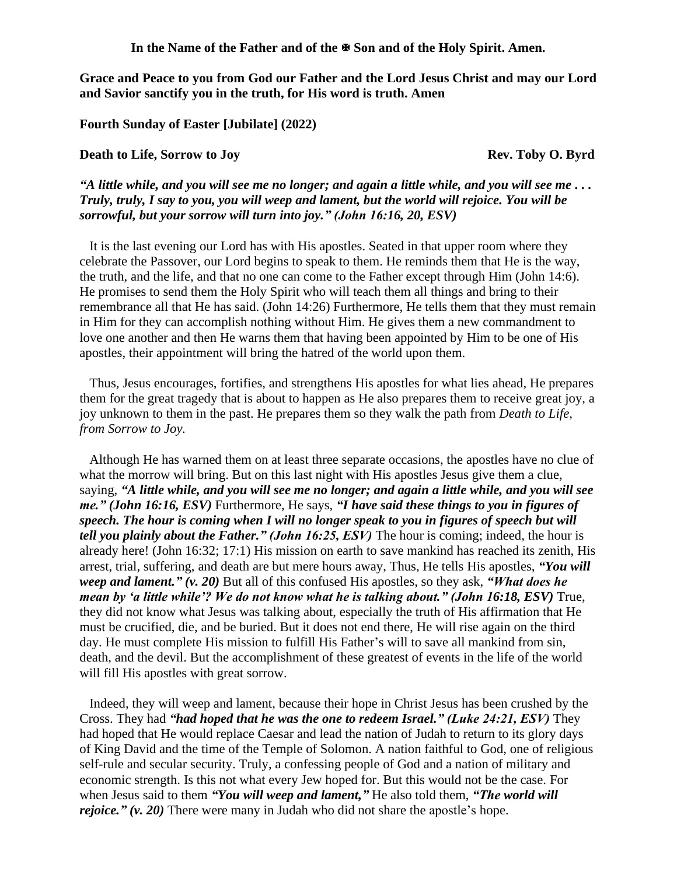In the Name of the Father and of the  $\mathbb{F}$  Son and of the Holy Spirit. Amen.

**Grace and Peace to you from God our Father and the Lord Jesus Christ and may our Lord and Savior sanctify you in the truth, for His word is truth. Amen**

**Fourth Sunday of Easter [Jubilate] (2022)**

## **Death to Life, Sorrow to Joy Rev. Toby O. Byrd**

*"A little while, and you will see me no longer; and again a little while, and you will see me . . . Truly, truly, I say to you, you will weep and lament, but the world will rejoice. You will be sorrowful, but your sorrow will turn into joy." (John 16:16, 20, ESV)* 

It is the last evening our Lord has with His apostles. Seated in that upper room where they celebrate the Passover, our Lord begins to speak to them. He reminds them that He is the way, the truth, and the life, and that no one can come to the Father except through Him (John 14:6). He promises to send them the Holy Spirit who will teach them all things and bring to their remembrance all that He has said. (John 14:26) Furthermore, He tells them that they must remain in Him for they can accomplish nothing without Him. He gives them a new commandment to love one another and then He warns them that having been appointed by Him to be one of His apostles, their appointment will bring the hatred of the world upon them.

Thus, Jesus encourages, fortifies, and strengthens His apostles for what lies ahead, He prepares them for the great tragedy that is about to happen as He also prepares them to receive great joy, a joy unknown to them in the past. He prepares them so they walk the path from *Death to Life, from Sorrow to Joy.*

Although He has warned them on at least three separate occasions, the apostles have no clue of what the morrow will bring. But on this last night with His apostles Jesus give them a clue, saying, *"A little while, and you will see me no longer; and again a little while, and you will see me." (John 16:16, ESV)* Furthermore, He says, *"I have said these things to you in figures of speech. The hour is coming when I will no longer speak to you in figures of speech but will tell you plainly about the Father." (John 16:25, ESV)* The hour is coming; indeed, the hour is already here! (John 16:32; 17:1) His mission on earth to save mankind has reached its zenith, His arrest, trial, suffering, and death are but mere hours away, Thus, He tells His apostles, *"You will weep and lament." (v. 20)* But all of this confused His apostles, so they ask, *"What does he mean by 'a little while'? We do not know what he is talking about." (John 16:18, ESV)* True, they did not know what Jesus was talking about, especially the truth of His affirmation that He must be crucified, die, and be buried. But it does not end there, He will rise again on the third day. He must complete His mission to fulfill His Father's will to save all mankind from sin, death, and the devil. But the accomplishment of these greatest of events in the life of the world will fill His apostles with great sorrow.

Indeed, they will weep and lament, because their hope in Christ Jesus has been crushed by the Cross. They had *"had hoped that he was the one to redeem Israel." (Luke 24:21, ESV)* They had hoped that He would replace Caesar and lead the nation of Judah to return to its glory days of King David and the time of the Temple of Solomon. A nation faithful to God, one of religious self-rule and secular security. Truly, a confessing people of God and a nation of military and economic strength. Is this not what every Jew hoped for. But this would not be the case. For when Jesus said to them *"You will weep and lament,"* He also told them, *"The world will rejoice." (v. 20)* There were many in Judah who did not share the apostle's hope.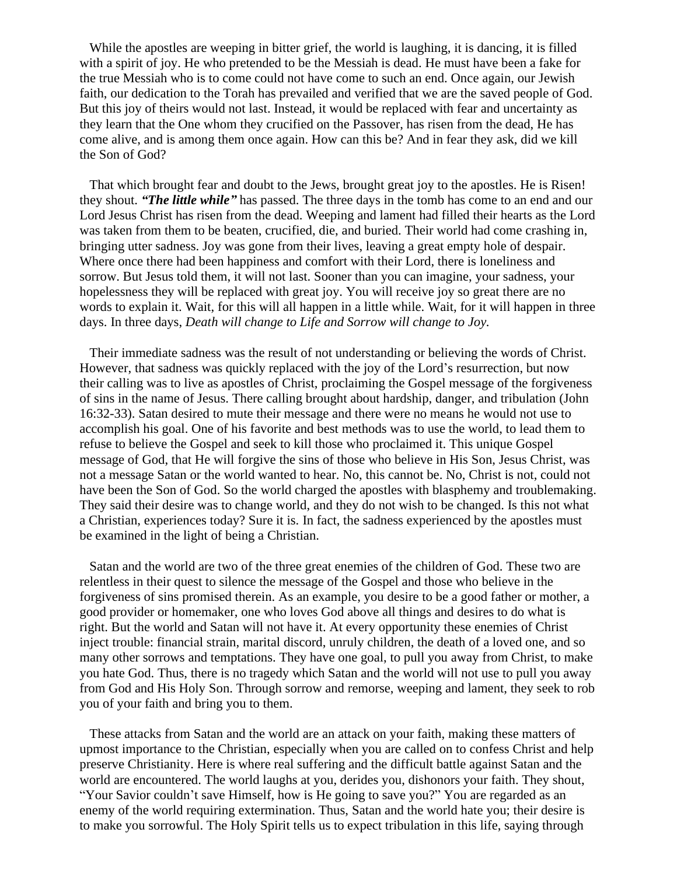While the apostles are weeping in bitter grief, the world is laughing, it is dancing, it is filled with a spirit of joy. He who pretended to be the Messiah is dead. He must have been a fake for the true Messiah who is to come could not have come to such an end. Once again, our Jewish faith, our dedication to the Torah has prevailed and verified that we are the saved people of God. But this joy of theirs would not last. Instead, it would be replaced with fear and uncertainty as they learn that the One whom they crucified on the Passover, has risen from the dead, He has come alive, and is among them once again. How can this be? And in fear they ask, did we kill the Son of God?

That which brought fear and doubt to the Jews, brought great joy to the apostles. He is Risen! they shout. *"The little while"* has passed. The three days in the tomb has come to an end and our Lord Jesus Christ has risen from the dead. Weeping and lament had filled their hearts as the Lord was taken from them to be beaten, crucified, die, and buried. Their world had come crashing in, bringing utter sadness. Joy was gone from their lives, leaving a great empty hole of despair. Where once there had been happiness and comfort with their Lord, there is loneliness and sorrow. But Jesus told them, it will not last. Sooner than you can imagine, your sadness, your hopelessness they will be replaced with great joy. You will receive joy so great there are no words to explain it. Wait, for this will all happen in a little while. Wait, for it will happen in three days. In three days, *Death will change to Life and Sorrow will change to Joy.*

Their immediate sadness was the result of not understanding or believing the words of Christ. However, that sadness was quickly replaced with the joy of the Lord's resurrection, but now their calling was to live as apostles of Christ, proclaiming the Gospel message of the forgiveness of sins in the name of Jesus. There calling brought about hardship, danger, and tribulation (John 16:32-33). Satan desired to mute their message and there were no means he would not use to accomplish his goal. One of his favorite and best methods was to use the world, to lead them to refuse to believe the Gospel and seek to kill those who proclaimed it. This unique Gospel message of God, that He will forgive the sins of those who believe in His Son, Jesus Christ, was not a message Satan or the world wanted to hear. No, this cannot be. No, Christ is not, could not have been the Son of God. So the world charged the apostles with blasphemy and troublemaking. They said their desire was to change world, and they do not wish to be changed. Is this not what a Christian, experiences today? Sure it is. In fact, the sadness experienced by the apostles must be examined in the light of being a Christian.

Satan and the world are two of the three great enemies of the children of God. These two are relentless in their quest to silence the message of the Gospel and those who believe in the forgiveness of sins promised therein. As an example, you desire to be a good father or mother, a good provider or homemaker, one who loves God above all things and desires to do what is right. But the world and Satan will not have it. At every opportunity these enemies of Christ inject trouble: financial strain, marital discord, unruly children, the death of a loved one, and so many other sorrows and temptations. They have one goal, to pull you away from Christ, to make you hate God. Thus, there is no tragedy which Satan and the world will not use to pull you away from God and His Holy Son. Through sorrow and remorse, weeping and lament, they seek to rob you of your faith and bring you to them.

These attacks from Satan and the world are an attack on your faith, making these matters of upmost importance to the Christian, especially when you are called on to confess Christ and help preserve Christianity. Here is where real suffering and the difficult battle against Satan and the world are encountered. The world laughs at you, derides you, dishonors your faith. They shout, "Your Savior couldn't save Himself, how is He going to save you?" You are regarded as an enemy of the world requiring extermination. Thus, Satan and the world hate you; their desire is to make you sorrowful. The Holy Spirit tells us to expect tribulation in this life, saying through